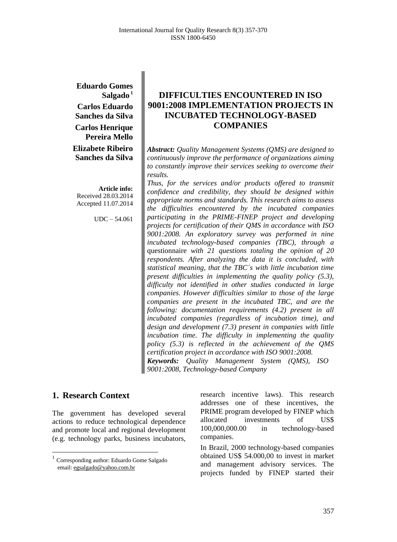**Eduardo Gomes Salgado <sup>1</sup> Carlos Eduardo Sanches da Silva Carlos Henrique Pereira Mello Elizabete Ribeiro Sanches da Silva**

**Article info:** Received 28.03.2014 Accepted 11.07.2014

UDC – 54.061

# **DIFFICULTIES ENCOUNTERED IN ISO 9001:2008 IMPLEMENTATION PROJECTS IN INCUBATED TECHNOLOGY-BASED COMPANIES**

*Abstract: Quality Management Systems (QMS) are designed to continuously improve the performance of organizations aiming to constantly improve their services seeking to overcome their results.*

*Thus, for the services and/or products offered to transmit confidence and credibility, they should be designed within appropriate norms and standards. This research aims to assess the difficulties encountered by the incubated companies participating in the PRIME-FINEP project and developing projects for certification of their QMS in accordance with ISO 9001:2008. An exploratory survey was performed in nine incubated technology-based companies (TBC), through a*  questionnaire *with 21 questions totaling the opinion of 20 respondents. After analyzing the data it is concluded, with statistical meaning, that the TBC´s with little incubation time present difficulties in implementing the quality policy (5.3), difficulty not identified in other studies conducted in large companies. However difficulties similar to those of the large companies are present in the incubated TBC, and are the following: documentation requirements (4.2) present in all incubated companies (regardless of incubation time), and design and development (7.3) present in companies with little incubation time. The difficulty in implementing the quality policy (5.3) is reflected in the achievement of the QMS certification project in accordance with ISO 9001:2008. Keywords: Quality Management System (QMS), ISO* 

*9001:2008, Technology-based Company*

## **1. Research Context <sup>1</sup>**

 $\overline{a}$ 

The government has developed several actions to reduce technological dependence and promote local and regional development (e.g. technology parks, business incubators, research incentive laws). This research addresses one of these incentives, the PRIME program developed by FINEP which allocated investments of US\$ 100,000,000.00 in technology-based companies.

In Brazil, 2000 technology-based companies obtained US\$ 54.000,00 to invest in market and management advisory services. The projects funded by FINEP started their

<sup>&</sup>lt;sup>1</sup> Corresponding author: Eduardo Gome Salgado email[: egsalgado@yahoo.com.br](mailto:egsalgado@yahoo.com.br)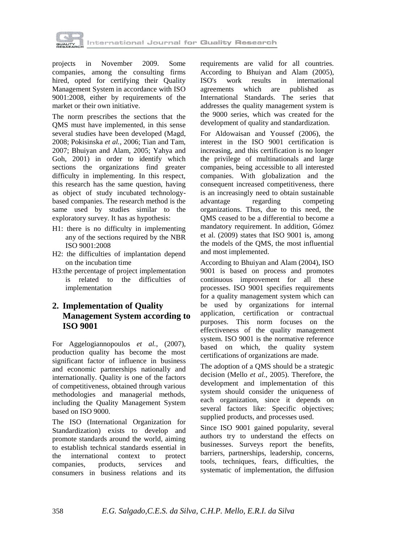

projects in November 2009. Some companies, among the consulting firms hired, opted for certifying their Quality Management System in accordance with ISO 9001:2008, either by requirements of the market or their own initiative.

The norm prescribes the sections that the QMS must have implemented, in this sense several studies have been developed (Magd, 2008; Pokisinska *et al.*, 2006; Tian and Tam, 2007; Bhuiyan and Alam, 2005; Yahya and Goh, 2001) in order to identify which sections the organizations find greater difficulty in implementing. In this respect, this research has the same question, having as object of study incubated technologybased companies. The research method is the same used by studies similar to the exploratory survey. It has as hypothesis:

- H1: there is no difficulty in implementing any of the sections required by the NBR ISO 9001:2008
- H2: the difficulties of implantation depend on the incubation time
- H3:the percentage of project implementation is related to the difficulties of implementation

# **2. Implementation of Quality Management System according to ISO 9001**

For Aggelogiannopoulos *et al.*, (2007), production quality has become the most significant factor of influence in business and economic partnerships nationally and internationally. Quality is one of the factors of competitiveness, obtained through various methodologies and managerial methods, including the Quality Management System based on ISO 9000.

The ISO (International Organization for Standardization) exists to develop and promote standards around the world, aiming to establish technical standards essential in the international context to protect companies, products, services and consumers in business relations and its

requirements are valid for all countries. According to Bhuiyan and Alam (2005), ISO's work results in international agreements which are published as International Standards. The series that addresses the quality management system is the 9000 series, which was created for the development of quality and standardization.

For Aldowaisan and Youssef (2006), the interest in the ISO 9001 certification is increasing, and this certification is no longer the privilege of multinationals and large companies, being accessible to all interested companies. With globalization and the consequent increased competitiveness, there is an increasingly need to obtain sustainable<br>advantage regarding competing advantage regarding competing organizations. Thus, due to this need, the QMS ceased to be a differential to become a mandatory requirement. In addition, Gómez et al. (2009) states that ISO 9001 is, among the models of the QMS, the most influential and most implemented.

According to Bhuiyan and Alam (2004), ISO 9001 is based on process and promotes continuous improvement for all these processes. ISO 9001 specifies requirements for a quality management system which can be used by organizations for internal application, certification or contractual purposes. This norm focuses on the effectiveness of the quality management system. ISO 9001 is the normative reference based on which, the quality system certifications of organizations are made.

The adoption of a QMS should be a strategic decision (Mello *et al.*, 2005). Therefore, the development and implementation of this system should consider the uniqueness of each organization, since it depends on several factors like: Specific objectives; supplied products, and processes used.

Since ISO 9001 gained popularity, several authors try to understand the effects on businesses. Surveys report the benefits, barriers, partnerships, leadership, concerns, tools, techniques, fears, difficulties, the systematic of implementation, the diffusion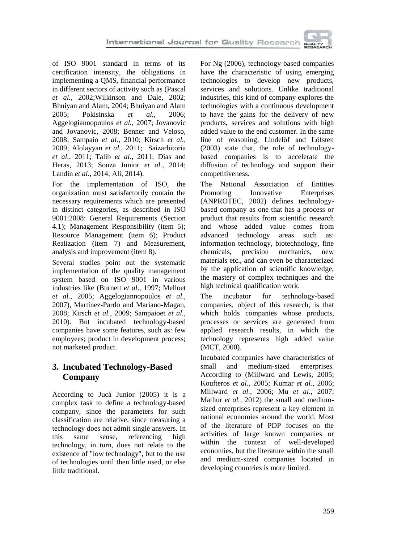

of ISO 9001 standard in terms of its certification intensity, the obligations in implementing a QMS, financial performance in different sectors of activity such as (Pascal *et al.*, 2002;Wilkinson and Dale, 2002; Bhuiyan and Alam, 2004; Bhuiyan and Alam 2005; Pokisinska *et al.*, 2006; Aggelogiannopoulos *et al.*, 2007; Jovanovic and Jovanovic, 2008; Benner and Veloso, 2008; Sampaio *et al.*, 2010; Kirsch *et al.*, 2009; Alolayyan *et al.*, 2011; Saizarbitoria *et al.*, 2011; Talib *et al.*, 2011; Dias and Heras, 2013; Souza Junior *et al.*, 2014; Landin *et al.*, 2014; Ali, 2014).

For the implementation of ISO, the organization must satisfactorily contain the necessary requirements which are presented in distinct categories, as described in ISO 9001:2008: General Requirements (Section 4.1); Management Responsibility (item 5); Resource Management (item 6); Product Realization (item 7) and Measurement, analysis and improvement (item 8).

Several studies point out the systematic implementation of the quality management system based on ISO 9001 in various industries like (Burnett *et al*., 1997; Melloet *et al.*, 2005; Aggelogiannopoulos *et al.*, 2007), Martínez-Pardo and Mariano-Magan, 2008; Kirsch *et al.*, 2009; Sampaioet *et al.*, 2010). But incubated technology-based companies have some features, such as: few employees; product in development process; not marketed product.

# **3. Incubated Technology-Based Company**

According to Jucá Junior (2005) it is a complex task to define a technology-based company, since the parameters for such classification are relative, since measuring a technology does not admit single answers. In this same sense, referencing high technology, in turn, does not relate to the existence of "low technology", but to the use of technologies until then little used, or else little traditional.

For Ng (2006), technology-based companies have the characteristic of using emerging technologies to develop new products, services and solutions. Unlike traditional industries, this kind of company explores the technologies with a continuous development to have the gains for the delivery of new products, services and solutions with high added value to the end customer. In the same line of reasoning, Lindelöf and Löfsten (2003) state that, the role of technologybased companies is to accelerate the diffusion of technology and support their competitiveness.

The National Association of Entities Promoting Innovative Enterprises (ANPROTEC, 2002) defines technologybased company as one that has a process or product that results from scientific research and whose added value comes from advanced technology areas such as: information technology, biotechnology, fine chemicals, precision mechanics, new materials etc., and can even be characterized by the application of scientific knowledge, the mastery of complex techniques and the high technical qualification work.

The incubator for technology-based companies, object of this research, is that which holds companies whose products, processes or services are generated from applied research results, in which the technology represents high added value (MCT, 2000).

Incubated companies have characteristics of small and medium-sized enterprises. According to (Millward and Lewis, 2005; Koufteros *et al.*, 2005; Kumar *et al.*, 2006; Millward *et al.*, 2006; Mu *et al.*, 2007; Mathur *et al.*, 2012) the small and mediumsized enterprises represent a key element in national economies around the world. Most of the literature of PDP focuses on the activities of large known companies or within the context of well-developed economies, but the literature within the small and medium-sized companies located in developing countries is more limited.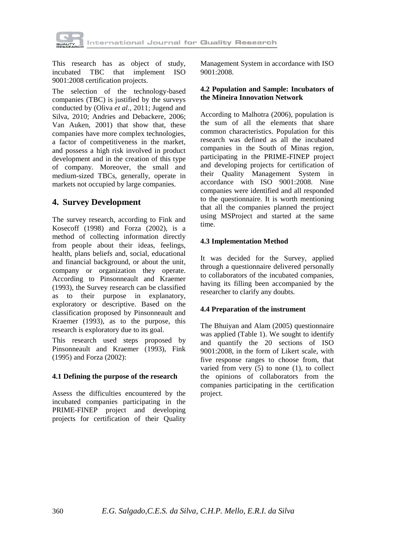

This research has as object of study, incubated TBC that implement ISO 9001:2008 certification projects.

The selection of the technology-based companies (TBC) is justified by the surveys conducted by (Oliva *et al.*, 2011; Jugend and Silva, 2010; Andries and Debackere, 2006; Van Auken, 2001) that show that, these companies have more complex technologies, a factor of competitiveness in the market, and possess a high risk involved in product development and in the creation of this type of company. Moreover, the small and medium-sized TBCs, generally, operate in markets not occupied by large companies.

# **4. Survey Development**

The survey research, according to Fink and Kosecoff (1998) and Forza (2002), is a method of collecting information directly from people about their ideas, feelings, health, plans beliefs and, social, educational and financial background, or about the unit, company or organization they operate. According to Pinsonneault and Kraemer (1993), the Survey research can be classified as to their purpose in explanatory, exploratory or descriptive. Based on the classification proposed by Pinsonneault and Kraemer (1993), as to the purpose, this research is exploratory due to its goal.

This research used steps proposed by Pinsonneault and Kraemer (1993), Fink (1995) and Forza (2002):

### **4.1 Defining the purpose of the research**

Assess the difficulties encountered by the incubated companies participating in the PRIME-FINEP project and developing projects for certification of their Quality Management System in accordance with ISO 9001:2008.

#### **4.2 Population and Sample: Incubators of the Mineira Innovation Network**

According to Malhotra (2006), population is the sum of all the elements that share common characteristics. Population for this research was defined as all the incubated companies in the South of Minas region, participating in the PRIME-FINEP project and developing projects for certification of their Quality Management System in accordance with ISO 9001:2008. Nine companies were identified and all responded to the questionnaire. It is worth mentioning that all the companies planned the project using MSProject and started at the same time.

### **4.3 Implementation Method**

It was decided for the Survey, applied through a questionnaire delivered personally to collaborators of the incubated companies, having its filling been accompanied by the researcher to clarify any doubts.

### **4.4 Preparation of the instrument**

The Bhuiyan and Alam (2005) questionnaire was applied (Table 1). We sought to identify and quantify the 20 sections of ISO 9001:2008, in the form of Likert scale, with five response ranges to choose from, that varied from very (5) to none (1), to collect the opinions of collaborators from the companies participating in the certification project.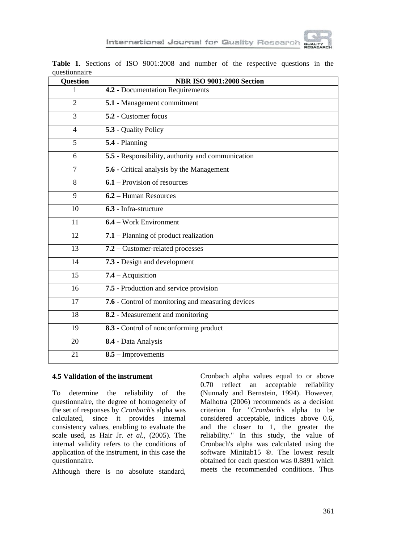

| gucsuonnan c<br><b>Question</b> | <b>NBR ISO 9001:2008 Section</b>                  |  |  |  |  |  |  |
|---------------------------------|---------------------------------------------------|--|--|--|--|--|--|
| 1                               | 4.2 - Documentation Requirements                  |  |  |  |  |  |  |
| $\mathfrak{D}$                  | 5.1 - Management commitment                       |  |  |  |  |  |  |
| 3                               | 5.2 - Customer focus                              |  |  |  |  |  |  |
| $\overline{4}$                  | $\overline{5.3}$ - Quality Policy                 |  |  |  |  |  |  |
| $\overline{5}$                  | 5.4 - Planning                                    |  |  |  |  |  |  |
| 6                               | 5.5 - Responsibility, authority and communication |  |  |  |  |  |  |
| 7                               | 5.6 - Critical analysis by the Management         |  |  |  |  |  |  |
| 8                               | 6.1 – Provision of resources                      |  |  |  |  |  |  |
| 9                               | 6.2 – Human Resources                             |  |  |  |  |  |  |
| 10                              | 6.3 - Infra-structure                             |  |  |  |  |  |  |
| 11                              | 6.4 – Work Environment                            |  |  |  |  |  |  |
| 12                              | 7.1 – Planning of product realization             |  |  |  |  |  |  |
| 13                              | 7.2 – Customer-related processes                  |  |  |  |  |  |  |
| 14                              | 7.3 - Design and development                      |  |  |  |  |  |  |
| 15                              | $7.4 -$ Acquisition                               |  |  |  |  |  |  |
| 16                              | 7.5 - Production and service provision            |  |  |  |  |  |  |
| 17                              | 7.6 - Control of monitoring and measuring devices |  |  |  |  |  |  |
| 18                              | 8.2 - Measurement and monitoring                  |  |  |  |  |  |  |
| 19                              | 8.3 - Control of nonconforming product            |  |  |  |  |  |  |
| 20                              | 8.4 - Data Analysis                               |  |  |  |  |  |  |
| 21                              | $8.5 -$ Improvements                              |  |  |  |  |  |  |

**Table 1.** Sections of ISO 9001:2008 and number of the respective questions in the questionnaire

#### **4.5 Validation of the instrument**

To determine the reliability of the questionnaire, the degree of homogeneity of the set of responses by *Cronbach*'s alpha was calculated, since it provides internal consistency values, enabling to evaluate the scale used, as Hair Jr. *et al.*, (2005). The internal validity refers to the conditions of application of the instrument, in this case the questionnaire.

Although there is no absolute standard,

Cronbach alpha values equal to or above 0.70 reflect an acceptable reliability (Nunnaly and Bernstein, 1994). However, Malhotra (2006) recommends as a decision criterion for "*Cronbach*'s alpha to be considered acceptable, indices above 0.6, and the closer to 1, the greater the reliability." In this study, the value of Cronbach's alpha was calculated using the software Minitab15 ®. The lowest result obtained for each question was 0.8891 which meets the recommended conditions. Thus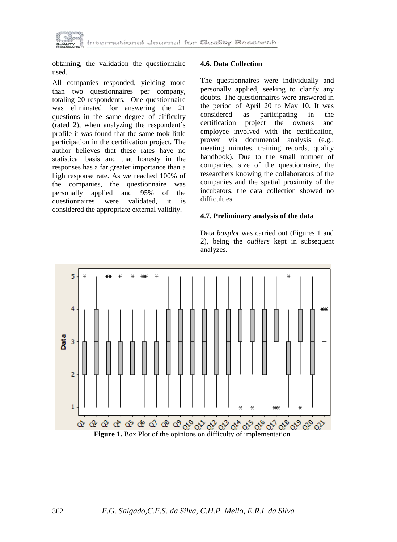

obtaining, the validation the questionnaire used.

All companies responded, yielding more than two questionnaires per company, totaling 20 respondents. One questionnaire was eliminated for answering the 21 questions in the same degree of difficulty (rated 2), when analyzing the respondent´s profile it was found that the same took little participation in the certification project. The author believes that these rates have no statistical basis and that honesty in the responses has a far greater importance than a high response rate. As we reached 100% of the companies, the questionnaire was personally applied and 95% of the questionnaires were validated, it is considered the appropriate external validity.

#### **4.6. Data Collection**

The questionnaires were individually and personally applied, seeking to clarify any doubts. The questionnaires were answered in the period of April 20 to May 10. It was considered as participating in the certification project the owners and employee involved with the certification, proven via documental analysis (e.g.: meeting minutes, training records, quality handbook). Due to the small number of companies, size of the questionnaire, the researchers knowing the collaborators of the companies and the spatial proximity of the incubators, the data collection showed no difficulties.

#### **4.7. Preliminary analysis of the data**

Data *boxplot* was carried out (Figures 1 and 2), being the *outliers* kept in subsequent analyzes.

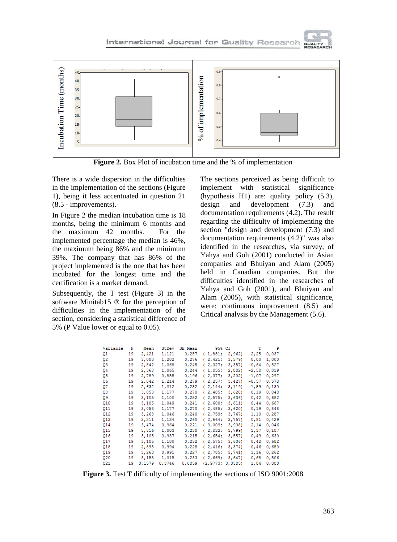

**Figure 2.** Box Plot of incubation time and the % of implementation

There is a wide dispersion in the difficulties in the implementation of the sections (Figure 1), being it less accentuated in question 21 (8.5 - improvements).

In Figure 2 the median incubation time is 18 months, being the minimum 6 months and the maximum 42 months. For the implemented percentage the median is 46%, the maximum being 86% and the minimum 39%. The company that has 86% of the project implemented is the one that has been incubated for the longest time and the certification is a market demand.

Subsequently, the T test (Figure 3) in the software Minitab15 ® for the perception of difficulties in the implementation of the section, considering a statistical difference of 5% (P Value lower or equal to 0.05).

The sections perceived as being difficult to implement with statistical significance (hypothesis H1) are: quality policy (5.3), design and development (7.3) and documentation requirements (4.2). The result regarding the difficulty of implementing the section "design and development (7.3) and documentation requirements (4.2)" was also identified in the researches, via survey, of Yahya and Goh (2001) conducted in Asian companies and Bhuiyan and Alam (2005) held in Canadian companies. But the difficulties identified in the researches of Yahya and Goh (2001), and Bhuiyan and Alam (2005), with statistical significance, were: continuous improvement (8.5) and Critical analysis by the Management (5.6).

**GUALIT** 

| Variable        | N  | Mean   | StDev  | SE Mean | 95% CI   |         | т       | P     |
|-----------------|----|--------|--------|---------|----------|---------|---------|-------|
| Q1              | 19 | 2,421  | 1,121  | 0,257   | (1,881;  | 2,962)  | $-2,25$ | 0,037 |
| Q2              | 19 | 3,000  | 1,202  | 0,276   | (2, 421; | 3,579   | 0,00    | 1,000 |
| Q3              | 19 | 2,842  | 1,068  | 0,245   | (2,327)  | 3,357   | $-0,64$ | 0,527 |
| Q4              | 19 | 2,368  | 1,065  | 0,244   | (1, 855) | 2,882)  | $-2,58$ | 0,019 |
| Q5              | 19 | 2,789  | 0,855  | 0,196   | (2,377)  | 3,202   | $-1,07$ | 0,297 |
| Q6              | 19 | 2,842  | 1,214  | 0,279   | (2.257)  | 3,427   | $-0,57$ | 0.578 |
| Q7              | 19 | 2,632  | 1,012  | 0.232   | (2.144)  | 3,119   | $-1,59$ | 0,130 |
| Q8              | 19 | 3,053  | 1,177  | 0,270   | (2, 485) | 3,620   | 0,19    | 0.848 |
| Q9              | 19 | 3,105  | 1,100  | 0,252   | (2,575;  | 3,636   | 0,42    | 0,682 |
| Q10             | 19 | 3,105  | 1,049  | 0,241   | (2,600;  | 3,611)  | 0,44    | 0,667 |
| Q11             | 19 | 3,053  | 1,177  | 0,270   | (2, 485; | 3,620   | 0,19    | 0,848 |
| Q12             | 19 | 3,263  | 1,046  | 0,240   | (2, 759; | 3,767)  | 1,10    | 0,287 |
| Q13             | 19 | 3,211  | 1,134  | 0,260   | (2,664;  | 3,757   | 0,81    | 0,429 |
| Q14             | 19 | 3,474  | 0,964  | 0.221   | (3,009)  | 3,938   | 2,14    | 0,046 |
| Q15             | 19 | 3,316  | 1,003  | 0,230   | (2,832)  | 3,799)  | 1,37    | 0,187 |
| Q16             | 19 | 3,105  | 0,937  | 0,215   | (2,654;  | 3,557   | 0,49    | 0,630 |
| Q17             | 19 | 3,105  | 1,100  | 0,252   | (2,575)  | 3,636   | 0,42    | 0,682 |
| Q18             | 19 | 2,895  | 0,994  | 0,228   | (2, 416; | 3,374   | $-0,46$ | 0,650 |
| Q19             | 19 | 3,263  | 0,991  | 0,227   | (2, 785; | 3,741   | 1,16    | 0,262 |
| Q <sub>20</sub> | 19 | 3,158  | 1,015  | 0,233   | (2.669;  | 3,647   | 0,68    | 0,506 |
| 021             | 10 | 3.1570 | 0.3746 | 0.0859  | 12.9773. | 3 33851 | 1 84    | n nes |

**Figure 3.** Test T difficulty of implementing the sections of ISO 9001:2008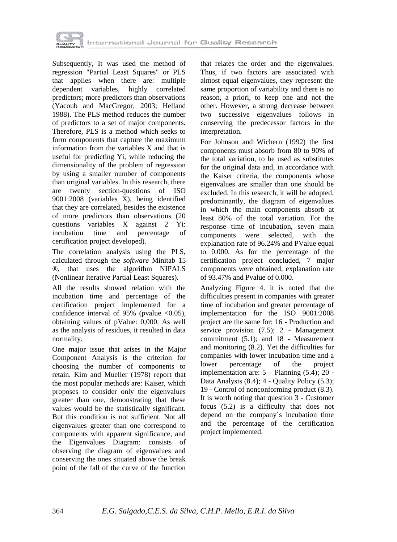

Subsequently, It was used the method of regression "Partial Least Squares" or PLS that applies when there are: multiple dependent variables, highly correlated predictors; more predictors than observations (Yacoub and MacGregor, 2003; Helland 1988). The PLS method reduces the number of predictors to a set of major components. Therefore, PLS is a method which seeks to form components that capture the maximum information from the variables X and that is useful for predicting Yi, while reducing the dimensionality of the problem of regression by using a smaller number of components than original variables. In this research, there are twenty section-questions of ISO 9001:2008 (variables X), being identified that they are correlated, besides the existence of more predictors than observations (20 questions variables X against 2 Yi: incubation time and percentage of certification project developed).

The correlation analysis using the PLS, calculated through the *software* Minitab 15 ®, that uses the algorithm NIPALS (Nonlinear Iterative Partial Least Squares).

All the results showed relation with the incubation time and percentage of the certification project implemented for a confidence interval of 95% (pvalue  $\langle 0.05 \rangle$ , obtaining values of pValue: 0,000. As well as the analysis of residues, it resulted in data normality.

One major issue that arises in the Major Component Analysis is the criterion for choosing the number of components to retain. Kim and Mueller (1978) report that the most popular methods are: Kaiser, which proposes to consider only the eigenvalues greater than one, demonstrating that these values would be the statistically significant. But this condition is not sufficient. Not all eigenvalues greater than one correspond to components with apparent significance, and the Eigenvalues Diagram: consists of observing the diagram of eigenvalues and conserving the ones situated above the break point of the fall of the curve of the function that relates the order and the eigenvalues. Thus, if two factors are associated with almost equal eigenvalues, they represent the same proportion of variability and there is no reason, a priori, to keep one and not the other. However, a strong decrease between two successive eigenvalues follows in conserving the predecessor factors in the interpretation.

For Johnson and Wichern (1992) the first components must absorb from 80 to 90% of the total variation, to be used as substitutes for the original data and, in accordance with the Kaiser criteria, the components whose eigenvalues are smaller than one should be excluded. In this research, it will be adopted, predominantly, the diagram of eigenvalues in which the main components absorb at least 80% of the total variation. For the response time of incubation, seven main components were selected, with the explanation rate of 96.24% and PValue equal to 0.000. As for the percentage of the certification project concluded, 7 major components were obtained, explanation rate of 93.47% and Pvalue of 0.000.

Analyzing Figure 4. it is noted that the difficulties present in companies with greater time of incubation and greater percentage of implementation for the ISO 9001:2008 project are the same for: 16 - Production and service provision (7.5); 2 - Management commitment (5.1); and 18 - Measurement and monitoring (8.2). Yet the difficulties for companies with lower incubation time and a lower percentage of the project implementation are: 5 – Planning (5.4); 20 - Data Analysis (8.4); 4 - Quality Policy (5.3); 19 - Control of nonconforming product (8.3). It is worth noting that question 3 - Customer focus (5.2) is a difficulty that does not depend on the company´s incubation time and the percentage of the certification project implemented.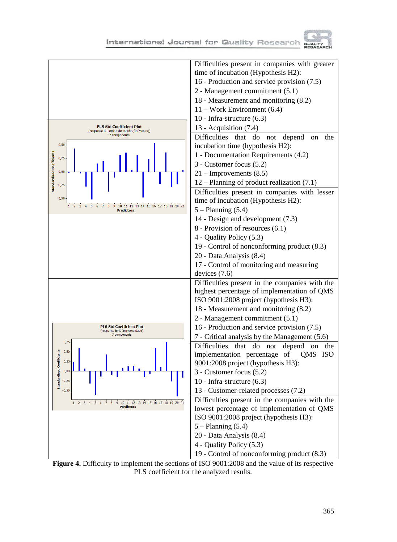International Journal for Quality Research



**Figure 4.** Difficulty to implement the sections of ISO 9001:2008 and the value of its respective PLS coefficient for the analyzed results.

**GUALITY**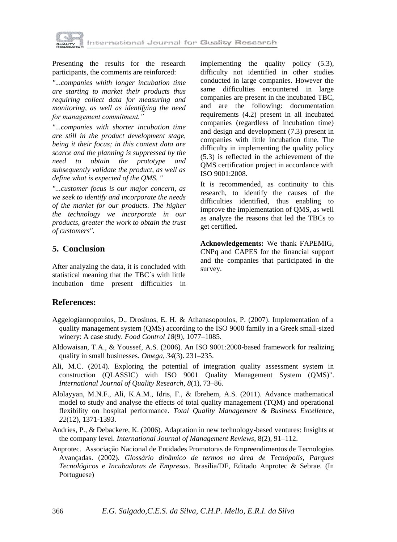

Presenting the results for the research participants, the comments are reinforced:

*"...companies whith longer incubation time are starting to market their products thus requiring collect data for measuring and monitoring, as well as identifying the need for management commitment."* 

*"...companies with shorter incubation time are still in the product development stage, being it their focus; in this context data are scarce and the planning is suppressed by the need to obtain the prototype and subsequently validate the product, as well as define what is expected of the QMS. "*

*"...customer focus is our major concern, as we seek to identify and incorporate the needs of the market for our products. The higher the technology we incorporate in our products, greater the work to obtain the trust of customers".*

## **5. Conclusion**

After analyzing the data, it is concluded with statistical meaning that the TBC´s with little incubation time present difficulties in

implementing the quality policy (5.3), difficulty not identified in other studies conducted in large companies. However the same difficulties encountered in large companies are present in the incubated TBC, and are the following: documentation requirements (4.2) present in all incubated companies (regardless of incubation time) and design and development (7.3) present in companies with little incubation time. The difficulty in implementing the quality policy (5.3) is reflected in the achievement of the QMS certification project in accordance with ISO 9001:2008.

It is recommended, as continuity to this research, to identify the causes of the difficulties identified, thus enabling to improve the implementation of QMS, as well as analyze the reasons that led the TBCs to get certified.

**Acknowledgements:** We thank FAPEMIG, CNPq and CAPES for the financial support and the companies that participated in the survey.

### **References:**

- Aggelogiannopoulos, D., Drosinos, E. H. & Athanasopoulos, P. (2007). Implementation of a quality management system (QMS) according to the ISO 9000 family in a Greek small-sized winery: A case study. *Food Control 18*(9), 1077–1085.
- Aldowaisan, T.A., & Youssef, A.S. (2006). An ISO 9001:2000-based framework for realizing quality in small businesses. *Omega*, *34*(3). 231–235.
- Ali, M.C. (2014). Exploring the potential of integration quality assessment system in construction (QLASSIC) with ISO 9001 Quality Management System (QMS)". *International Journal of Quality Research*, *8*(1), 73–86.
- Alolayyan, M.N.F., Ali, K.A.M., Idris, F., & Ibrehem, A.S. (2011). Advance mathematical model to study and analyse the effects of total quality management (TQM) and operational flexibility on hospital performance. *Total Quality Management & Business Excellence*, *22*(12), 1371-1393.
- Andries, P., & Debackere, K. (2006). Adaptation in new technology-based ventures: Insights at the company level. *International Journal of Management Reviews*, 8(2), 91–112.
- Anprotec. Associação Nacional de Entidades Promotoras de Empreendimentos de Tecnologias Avançadas. (2002). *Glossário dinâmico de termos na área de Tecnópolis, Parques Tecnológicos e Incubadoras de Empresas*. Brasília/DF, Editado Anprotec & Sebrae. (In Portuguese)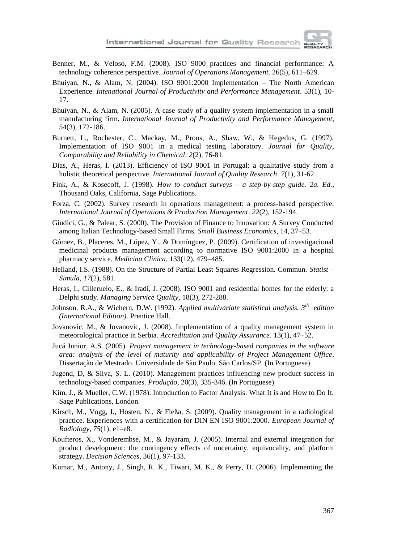

- Benner, M., & Veloso, F.M. (2008). ISO 9000 practices and financial performance: A technology coherence perspective. *Journal of Operations Management*. 26(5), 611–629.
- Bhuiyan, N., & Alam, N. (2004). ISO 9001:2000 Implementation The North American Experience. *Intenational Journal of Productivity and Performance Management*. 53(1), 10- 17.
- Bhuiyan, N., & Alam, N. (2005). A case study of a quality system implementation in a small manufacturing firm. *International Journal of Productivity and Performance Management*, 54(3), 172-186.
- Burnett, L., Rochester, C., Mackay, M., Proos, A., Shaw, W., & Hegedus, G. (1997). Implementation of ISO 9001 in a medical testing laboratory. *Journal for Quality, Comparability and Reliability in Chemical*. *2*(2), 76-81.
- Dias, A., Heras, I. (2013). Efficiency of ISO 9001 in Portugal: a qualitative study from a holistic theoretical perspective. *International Journal of Quality Research*. *7*(1), 31-62
- Fink, A., & Kosecoff, J. (1998). *How to conduct surveys – a step-by-step guide. 2a. Ed.*, Thousand Oaks, California, Sage Publications.
- Forza, C. (2002). Survey research in operations management: a process-based perspective. *International Journal of Operations & Production Management*. *22*(2), 152-194.
- Giudici, G., & Palear, S. (2000). The Provision of Finance to Innovation: A Survey Conducted among Italian Technology-based Small Firms. *Small Business Economics*, 14, 37–53.
- Gómez, B., Placeres, M., López, Y., & Domínguez, P. (2009). Certification of investigacional medicinal products management according to normative ISO 9001:2000 in a hospital pharmacy service. *Medicina Clinica*, 133(12), 479–485.
- Helland, I.S. (1988). On the Structure of Partial Least Squares Regression. Commun. *Statist – Simula*, *17*(2), 581.
- Heras, I., Cilleruelo, E., & Iradi, J. (2008). ISO 9001 and residential homes for the elderly: a Delphi study. *Managing Service Quality*, 18(3), 272-288.
- Johnson, R.A., & Wichern, D.W. (1992). *Applied multivariate statistical analysis. 3th edition (International Edition)*. Prentice Hall.
- Jovanovic, M., & Jovanovic, J. (2008). Implementation of a quality management system in meteorological practice in Serbia. *Accreditation and Quality Assurance*. 13(1), 47–52.
- Jucá Junior, A.S. (2005). *Project management in technology-based companies in the software area: analysis of the level of maturity and applicability of Project Management Office*. Dissertação de Mestrado. Universidade de São Paulo. São Carlos/SP. (In Portuguese)
- Jugend, D, & Silva, S. L. (2010). Management practices influencing new product success in technology-based companies. *Produção*, 20(3), 335-346. (In Portuguese)
- Kim, J., & Mueller, C.W. (1978). Introduction to Factor Analysis: What It is and How to Do It. Sage Publications, London.
- Kirsch, M., Vogg, I., Hosten, N., & Fleßa, S. (2009). Quality management in a radiological practice. Experiences with a certification for DIN EN ISO 9001:2000. *European Journal of Radiology*, *75*(1), e1–e8.
- Koufteros, X., Vonderembse, M., & Jayaram, J. (2005). Internal and external integration for product development: the contingency effects of uncertainty, equivocality, and platform strategy. *Decision Sciences*, 36(1), 97-133.
- Kumar, M., Antony, J., Singh, R. K., Tiwari, M. K., & Perry, D. (2006). Implementing the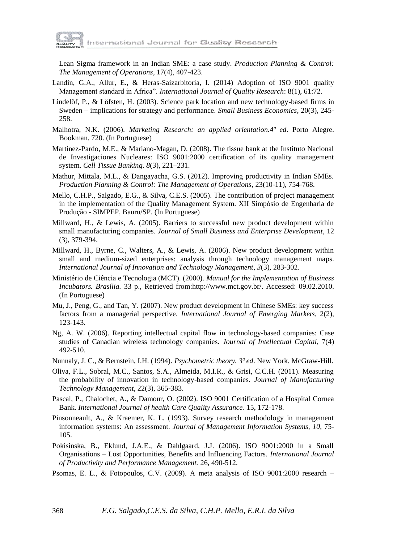

Lean Sigma framework in an Indian SME: a case study. *Production Planning & Control: The Management of Operations*, 17(4), 407-423.

- Landin, G.A., Allur, E., & Heras-Saizarbitoria, I. (2014) Adoption of ISO 9001 quality Management standard in Africa". *International Journal of Quality Research*: 8(1), 61:72.
- Lindelöf, P., & Löfsten, H. (2003). Science park location and new technology-based firms in Sweden – implications for strategy and performance. *Small Business Economics*, 20(3), 245- 258.
- Malhotra, N.K. (2006). *Marketing Research: an applied orientation.4ª ed*. Porto Alegre. Bookman. 720. (In Portuguese)
- Martínez-Pardo, M.E., & Mariano-Magan, D. (2008). The tissue bank at the Instituto Nacional de Investigaciones Nucleares: ISO 9001:2000 certification of its quality management system. *Cell Tissue Banking*. *8*(3), 221–231.
- Mathur, Mittala, M.L., & Dangayacha, G.S. (2012). Improving productivity in Indian SMEs. *Production Planning & Control: The Management of Operations*, 23(10-11), 754-768.
- Mello, C.H.P., Salgado, E.G., & Silva, C.E.S. (2005). The contribution of project management in the implementation of the Quality Management System. XII Simpósio de Engenharia de Produção - SIMPEP, Bauru/SP. (In Portuguese)
- Millward, H., & Lewis, A. (2005). Barriers to successful new product development within small manufacturing companies. *Journal of Small Business and Enterprise Development*, 12 (3), 379-394.
- Millward, H., Byrne, C., Walters, A., & Lewis, A. (2006). New product development within small and medium-sized enterprises: analysis through technology management maps. *International Journal of Innovation and Technology Management*, *3*(3), 283-302.
- Ministério de Ciência e Tecnologia (MCT). (2000). *Manual for the Implementation of Business Incubators. Brasília.* 33 p., Retrieved from:http://www.mct.gov.br/. Accessed: 09.02.2010. (In Portuguese)
- Mu, J., Peng, G., and Tan, Y. (2007). New product development in Chinese SMEs: key success factors from a managerial perspective. *International Journal of Emerging Markets*, 2(2), 123-143.
- Ng, A. W. (2006). Reporting intellectual capital flow in technology-based companies: Case studies of Canadian wireless technology companies. *Journal of Intellectual Capital*, 7(4) 492-510.
- Nunnaly, J. C., & Bernstein, I.H. (1994). *Psychometric theory. 3ª ed*. New York. McGraw-Hill.
- Oliva, F.L., Sobral, M.C., Santos, S.A., Almeida, M.I.R., & Grisi, C.C.H. (2011). Measuring the probability of innovation in technology-based companies. *Journal of Manufacturing Technology Management*, 22(3), 365-383.
- Pascal, P., Chalochet, A., & Damour, O. (2002). ISO 9001 Certification of a Hospital Cornea Bank. *International Journal of health Care Quality Assurance*. 15, 172-178.
- Pinsonneault, A., & Kraemer, K. L. (1993). Survey research methodology in management information systems: An assessment. *Journal of Management Information Systems*, *10*, 75- 105.
- Pokisinska, B., Eklund, J.A.E., & Dahlgaard, J.J. (2006). ISO 9001:2000 in a Small Organisations – Lost Opportunities, Benefits and Influencing Factors. *International Journal of Productivity and Performance Management.* 26, 490-512.
- Psomas, E. L., & Fotopoulos, C.V. (2009). A meta analysis of ISO 9001:2000 research –